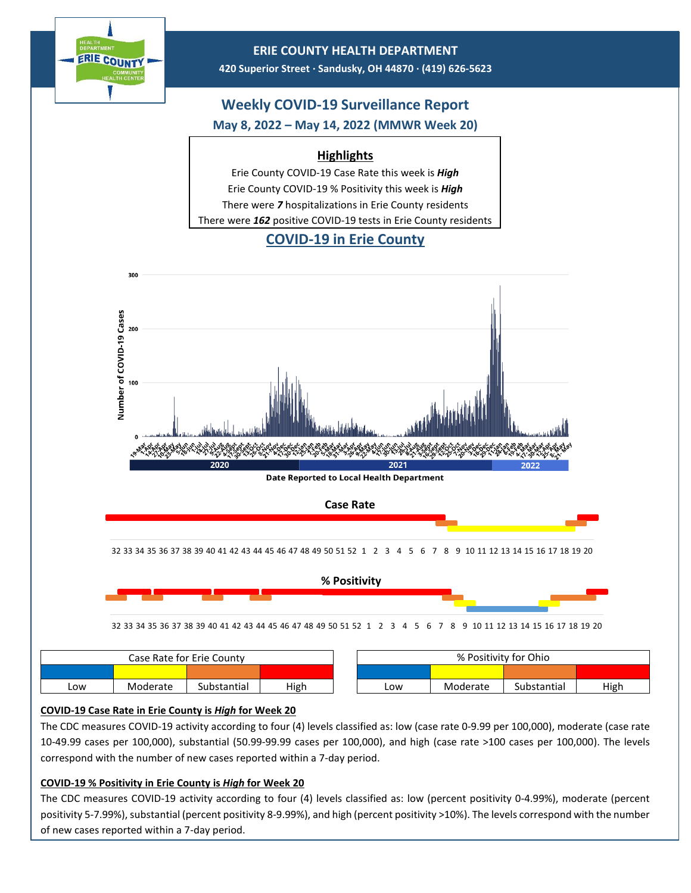

### **ERIE COUNTY HEALTH DEPARTMENT**

**420 Superior Street ∙ Sandusky, OH 44870 ∙ (419) 626-5623**

## **Weekly COVID-19 Surveillance Report May 8, 2022 – May 14, 2022 (MMWR Week 20)**

## **Highlights**

Erie County COVID-19 Case Rate this week is *High* Erie County COVID-19 % Positivity this week is *High* There were *7* hospitalizations in Erie County residents There were *162* positive COVID-19 tests in Erie County residents

# **COVID-19 in Erie County**



### **COVID-19 Case Rate in Erie County is** *High* **for Week 20**

The CDC measures COVID-19 activity according to four (4) levels classified as: low (case rate 0-9.99 per 100,000), moderate (case rate 10-49.99 cases per 100,000), substantial (50.99-99.99 cases per 100,000), and high (case rate >100 cases per 100,000). The levels correspond with the number of new cases reported within a 7-day period.

### **COVID-19 % Positivity in Erie County is** *High* **for Week 20**

The CDC measures COVID-19 activity according to four (4) levels classified as: low (percent positivity 0-4.99%), moderate (percent positivity 5-7.99%), substantial (percent positivity 8-9.99%), and high (percent positivity >10%). The levels correspond with the number of new cases reported within a 7-day period.